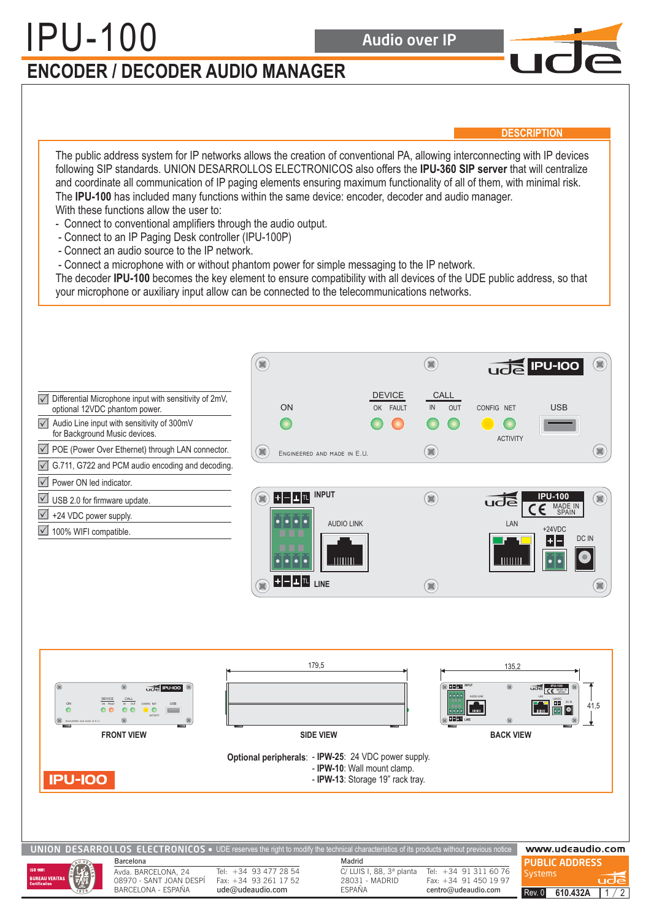## **ENCODER / DECODER AUDIO MANAGER** IPU-100 Audio over IP



## **DESCRIPTION**

The public address system for IP networks allows the creation of conventional PA, allowing interconnecting with IP devices following SIP standards. UNION DESARROLLOS ELECTRONICOS also offers the IPU-360 SIP server that will centralize and coordinate all communication of IP paging elements ensuring maximum functionality of all of them, with minimal risk. The IPU-100 has included many functions within the same device: encoder, decoder and audio manager. With these functions allow the user to:

- Connect to conventional amplifiers through the audio output.
- Connect to an IP Paging Desk controller (IPU-100P)
- Connect an audio source to the IP network.
- Connect a microphone with or without phantom power for simple messaging to the IP network.

The decoder IPU-100 becomes the key element to ensure compatibility with all devices of the UDE public address, so that your microphone or auxiliary input allow can be connected to the telecommunications networks.